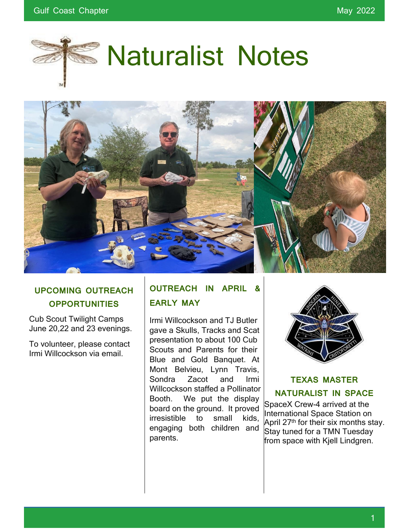

# **Naturalist Notes**



## **UPCOMING OUTREACH OPPORTUNITIES**

Cub Scout Twilight Camps June 20,22 and 23 evenings.

To volunteer, please contact Irmi Willcockson via email.

## **OUTREACH IN APRIL & EARLY MAY**

Irmi Willcockson and TJ Butler gave a Skulls, Tracks and Scat presentation to about 100 Cub Scouts and Parents for their Blue and Gold Banquet. At Mont Belvieu, Lynn Travis, Sondra Zacot and Irmi Willcockson staffed a Pollinator Booth. We put the display board on the ground. It proved irresistible to small kids, engaging both children and parents.



## **TEXAS MASTER NATURALIST IN SPACE**

SpaceX Crew-4 arrived at the International Space Station on April 27<sup>th</sup> for their six months stay. Stay tuned for a TMN Tuesday from space with Kjell Lindgren.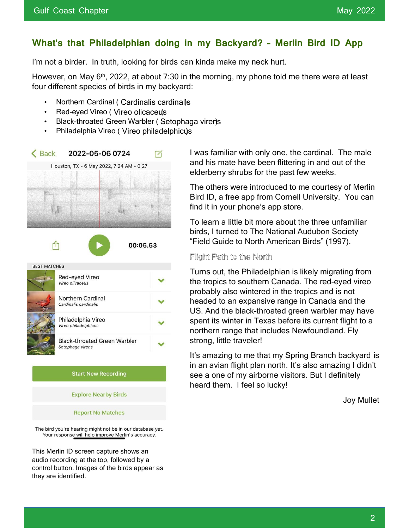## **What's that Philadelphian doing in my Backyard? – Merlin Bird ID App**

I'm not a birder. In truth, looking for birds can kinda make my neck hurt.

However, on May 6<sup>th</sup>, 2022, at about 7:30 in the morning, my phone told me there were at least four different species of birds in my backyard:

- Northern Cardinal ( Cardinalis cardinalis)
- Red-eyed Vireo ( Vireo olicaceus
- Black-throated Green Warbler ( Setophaga virens
- Philadelphia Vireo ( Vireo philadelphicus)



The bird you're hearing might not be in our database yet. Your response will help improve Merlin's accuracy.

This Merlin ID screen capture shows an audio recording at the top, followed by a control button. Images of the birds appear as they are identified.

I was familiar with only one, the cardinal. The male and his mate have been flittering in and out of the elderberry shrubs for the past few weeks.

The others were introduced to me courtesy of Merlin Bird ID, a free app from Cornell University. You can find it in your phone's app store.

To learn a little bit more about the three unfamiliar birds, I turned to The National Audubon Society "Field Guide to North American Birds" (1997).

#### Flight Path to the North

Turns out, the Philadelphian is likely migrating from the tropics to southern Canada. The red-eyed vireo probably also wintered in the tropics and is not headed to an expansive range in Canada and the US. And the black-throated green warbler may have spent its winter in Texas before its current flight to a northern range that includes Newfoundland. Fly strong, little traveler!

It's amazing to me that my Spring Branch backyard is in an avian flight plan north. It's also amazing I didn't see a one of my airborne visitors. But I definitely heard them. I feel so lucky!

Joy Mullet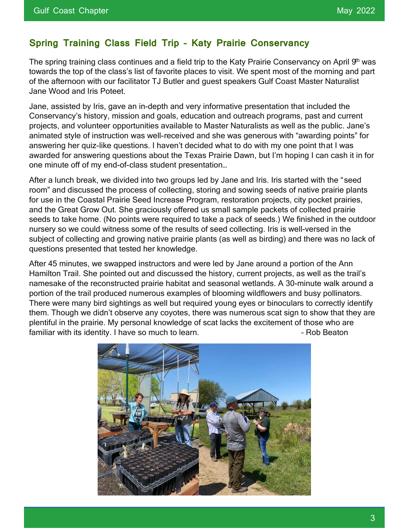#### **Spring Training Class Field Trip – Katy Prairie Conservancy**

The spring training class continues and a field trip to the Katy Prairie Conservancy on April 9<sup>th</sup> was towards the top of the class's list of favorite places to visit. We spent most of the morning and part of the afternoon with our facilitator TJ Butler and guest speakers Gulf Coast Master Naturalist Jane Wood and Iris Poteet.

Jane, assisted by Iris, gave an in-depth and very informative presentation that included the Conservancy's history, mission and goals, education and outreach programs, past and current projects, and volunteer opportunities available to Master Naturalists as well as the public. Jane's animated style of instruction was well-received and she was generous with "awarding points" for answering her quiz-like questions. I haven't decided what to do with my one point that I was awarded for answering questions about the Texas Prairie Dawn, but I'm hoping I can cash it in for one minute off of my end-of-class student presentation…

After a lunch break, we divided into two groups led by Jane and Iris. Iris started with the "seed room" and discussed the process of collecting, storing and sowing seeds of native prairie plants for use in the Coastal Prairie Seed Increase Program, restoration projects, city pocket prairies, and the Great Grow Out. She graciously offered us small sample packets of collected prairie seeds to take home. (No points were required to take a pack of seeds.) We finished in the outdoor nursery so we could witness some of the results of seed collecting. Iris is well-versed in the subject of collecting and growing native prairie plants (as well as birding) and there was no lack of questions presented that tested her knowledge.

After 45 minutes, we swapped instructors and were led by Jane around a portion of the Ann Hamilton Trail. She pointed out and discussed the history, current projects, as well as the trail's namesake of the reconstructed prairie habitat and seasonal wetlands. A 30-minute walk around a portion of the trail produced numerous examples of blooming wildflowers and busy pollinators. There were many bird sightings as well but required young eyes or binoculars to correctly identify them. Though we didn't observe any coyotes, there was numerous scat sign to show that they are plentiful in the prairie. My personal knowledge of scat lacks the excitement of those who are familiar with its identity. I have so much to learn. The same state of the Beaton of the Beaton

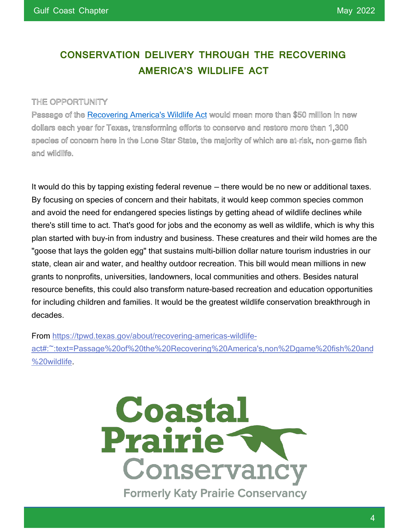## **CONSERVATION DELIVERY THROUGH THE RECOVERING AMERICA'S WILDLIFE ACT**

#### THE OPPORTUNITY

Passage of the Recovering America's Wildlife Act would mean more than \$50 million in new dollars each year for Texas, transforming efforts to conserve and restore more than 1,300 species of concern here in the Lone Star State, the majority of which are at-risk, non-game fish and wildlife.

It would do this by tapping existing federal revenue — there would be no new or additional taxes. By focusing on species of concern and their habitats, it would keep common species common and avoid the need for endangered species listings by getting ahead of wildlife declines while there's still time to act. That's good for jobs and the economy as well as wildlife, which is why this plan started with buy-in from industry and business. These creatures and their wild homes are the "goose that lays the golden egg" that sustains multi-billion dollar nature tourism industries in our state, clean air and water, and healthy outdoor recreation. This bill would mean millions in new grants to nonprofits, universities, landowners, local communities and others. Besides natural resource benefits, this could also transform nature-based recreation and education opportunities for including children and families. It would be the greatest wildlife conservation breakthrough in decades.

From https://tpwd.texas.gov/about/recovering-americas-wildlifeact#:~:text=Passage%20of%20the%20Recovering%20America's,non%2Dgame%20fish%20and %20wildlife.

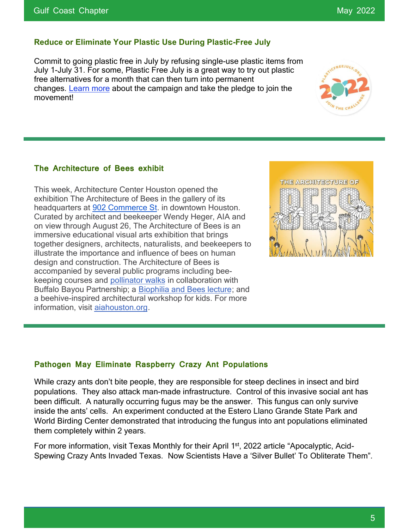#### **Reduce or Eliminate Your Plastic Use During Plastic-Free July**

Commit to going plastic free in July by refusing single-use plastic items from July 1-July 31. For some, Plastic Free July is a great way to try out plastic free alternatives for a month that can then turn into permanent changes. Learn more about the campaign and take the pledge to join the movement!

#### **The Architecture of Bees exhibit**

This week, Architecture Center Houston opened the exhibition The Architecture of Bees in the gallery of its headquarters at 902 Commerce St. in downtown Houston. Curated by architect and beekeeper Wendy Heger, AIA and on view through August 26, The Architecture of Bees is an immersive educational visual arts exhibition that brings together designers, architects, naturalists, and beekeepers to illustrate the importance and influence of bees on human design and construction. The Architecture of Bees is accompanied by several public programs including beekeeping courses and pollinator walks in collaboration with Buffalo Bayou Partnership; a Biophilia and Bees lecture; and a beehive-inspired architectural workshop for kids. For more information, visit aiahouston.org.



#### **Pathogen May Eliminate Raspberry Crazy Ant Populations**

While crazy ants don't bite people, they are responsible for steep declines in insect and bird populations. They also attack man-made infrastructure. Control of this invasive social ant has been difficult. A naturally occurring fugus may be the answer. This fungus can only survive inside the ants' cells. An experiment conducted at the Estero Llano Grande State Park and World Birding Center demonstrated that introducing the fungus into ant populations eliminated them completely within 2 years.

For more information, visit Texas Monthly for their April 1<sup>st</sup>, 2022 article "Apocalyptic, Acid-Spewing Crazy Ants Invaded Texas. Now Scientists Have a 'Silver Bullet' To Obliterate Them".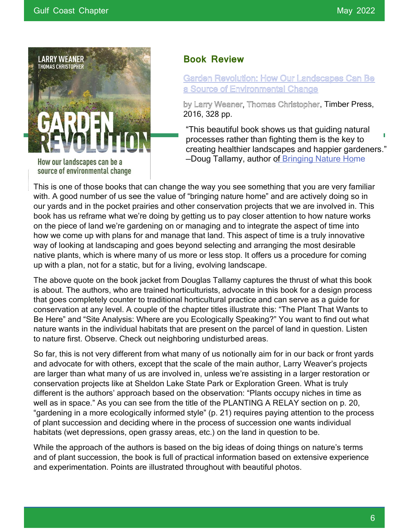

How our landscapes can be a source of environmental change

#### **Book Review**

Garden Revolution: How Our Landscapes Can Be a Source of Environmental Change

by Larry Weaner, Thomas Christopher, Timber Press, 2016, 328 pp.

"This beautiful book shows us that guiding natural processes rather than fighting them is the key to creating healthier landscapes and happier gardeners." —Doug Tallamy, author of Bringing Nature Home

This is one of those books that can change the way you see something that you are very familiar with. A good number of us see the value of "bringing nature home" and are actively doing so in our yards and in the pocket prairies and other conservation projects that we are involved in. This book has us reframe what we're doing by getting us to pay closer attention to how nature works on the piece of land we're gardening on or managing and to integrate the aspect of time into how we come up with plans for and manage that land. This aspect of time is a truly innovative way of looking at landscaping and goes beyond selecting and arranging the most desirable native plants, which is where many of us more or less stop. It offers us a procedure for coming up with a plan, not for a static, but for a living, evolving landscape.

The above quote on the book jacket from Douglas Tallamy captures the thrust of what this book is about. The authors, who are trained horticulturists, advocate in this book for a design process that goes completely counter to traditional horticultural practice and can serve as a guide for conservation at any level. A couple of the chapter titles illustrate this: "The Plant That Wants to Be Here" and "Site Analysis: Where are you Ecologically Speaking?" You want to find out what nature wants in the individual habitats that are present on the parcel of land in question. Listen to nature first. Observe. Check out neighboring undisturbed areas.

So far, this is not very different from what many of us notionally aim for in our back or front yards and advocate for with others, except that the scale of the main author, Larry Weaver's projects are larger than what many of us are involved in, unless we're assisting in a larger restoration or conservation projects like at Sheldon Lake State Park or Exploration Green. What is truly different is the authors' approach based on the observation: "Plants occupy niches in time as well as in space." As you can see from the title of the PLANTING A RELAY section on p. 20, "gardening in a more ecologically informed style" (p. 21) requires paying attention to the process of plant succession and deciding where in the process of succession one wants individual habitats (wet depressions, open grassy areas, etc.) on the land in question to be.

While the approach of the authors is based on the big ideas of doing things on nature's terms and of plant succession, the book is full of practical information based on extensive experience and experimentation. Points are illustrated throughout with beautiful photos.